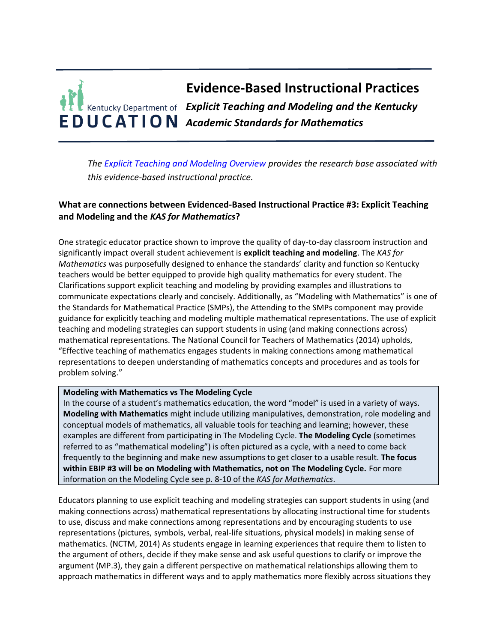

*The [Explicit Teaching and Modeling Overview](https://education.ky.gov/curriculum/standards/kyacadstand/Documents/EBIP_3_Explicit_Teaching_and_Modeling.pdf) provides the research base associated with this evidence-based instructional practice.*

## **What are connections between Evidenced-Based Instructional Practice #3: Explicit Teaching and Modeling and the** *KAS for Mathematics***?**

One strategic educator practice shown to improve the quality of day-to-day classroom instruction and significantly impact overall student achievement is **explicit teaching and modeling**. The *KAS for Mathematics* was purposefully designed to enhance the standards' clarity and function so Kentucky teachers would be better equipped to provide high quality mathematics for every student. The Clarifications support explicit teaching and modeling by providing examples and illustrations to communicate expectations clearly and concisely. Additionally, as "Modeling with Mathematics" is one of the Standards for Mathematical Practice (SMPs), the Attending to the SMPs component may provide guidance for explicitly teaching and modeling multiple mathematical representations. The use of explicit teaching and modeling strategies can support students in using (and making connections across) mathematical representations. The National Council for Teachers of Mathematics (2014) upholds, "Effective teaching of mathematics engages students in making connections among mathematical representations to deepen understanding of mathematics concepts and procedures and as tools for problem solving."

#### **Modeling with Mathematics vs The Modeling Cycle**

In the course of a student's mathematics education, the word "model" is used in a variety of ways. **Modeling with Mathematics** might include utilizing manipulatives, demonstration, role modeling and conceptual models of mathematics, all valuable tools for teaching and learning; however, these examples are different from participating in The Modeling Cycle. **The Modeling Cycle** (sometimes referred to as "mathematical modeling") is often pictured as a cycle, with a need to come back frequently to the beginning and make new assumptions to get closer to a usable result. **The focus within EBIP #3 will be on Modeling with Mathematics, not on The Modeling Cycle.** For more information on the Modeling Cycle see p. 8-10 of the *KAS for Mathematics*.

Educators planning to use explicit teaching and modeling strategies can support students in using (and making connections across) mathematical representations by allocating instructional time for students to use, discuss and make connections among representations and by encouraging students to use representations (pictures, symbols, verbal, real-life situations, physical models) in making sense of mathematics. (NCTM, 2014) As students engage in learning experiences that require them to listen to the argument of others, decide if they make sense and ask useful questions to clarify or improve the argument (MP.3), they gain a different perspective on mathematical relationships allowing them to approach mathematics in different ways and to apply mathematics more flexibly across situations they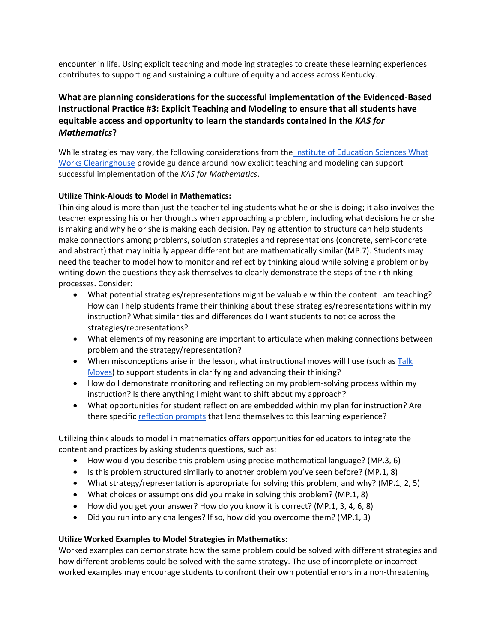encounter in life. Using explicit teaching and modeling strategies to create these learning experiences contributes to supporting and sustaining a culture of equity and access across Kentucky.

# **What are planning considerations for the successful implementation of the Evidenced-Based Instructional Practice #3: Explicit Teaching and Modeling to ensure that all students have equitable access and opportunity to learn the standards contained in the** *KAS for Mathematics***?**

While strategies may vary, the following considerations from the [Institute of Education Sciences What](https://ies.ed.gov/ncee/wwc/Docs/PracticeGuide/How_can_the_WWC_Practice_Guides_Help_Teachers_508.pdf)  [Works Clearinghouse](https://ies.ed.gov/ncee/wwc/Docs/PracticeGuide/How_can_the_WWC_Practice_Guides_Help_Teachers_508.pdf) provide guidance around how explicit teaching and modeling can support successful implementation of the *KAS for Mathematics*.

## **Utilize Think-Alouds to Model in Mathematics:**

Thinking aloud is more than just the teacher telling students what he or she is doing; it also involves the teacher expressing his or her thoughts when approaching a problem, including what decisions he or she is making and why he or she is making each decision. Paying attention to structure can help students make connections among problems, solution strategies and representations (concrete, semi-concrete and abstract) that may initially appear different but are mathematically similar (MP.7). Students may need the teacher to model how to monitor and reflect by thinking aloud while solving a problem or by writing down the questions they ask themselves to clearly demonstrate the steps of their thinking processes. Consider:

- What potential strategies/representations might be valuable within the content I am teaching? How can I help students frame their thinking about these strategies/representations within my instruction? What similarities and differences do I want students to notice across the strategies/representations?
- What elements of my reasoning are important to articulate when making connections between problem and the strategy/representation?
- When misconceptions arise in the lesson, what instructional moves will I use (such as Talk [Moves\)](https://irp-cdn.multiscreensite.com/7a45b809/files/uploaded/talk_moves_map_oconnor_2017.pdf) to support students in clarifying and advancing their thinking?
- How do I demonstrate monitoring and reflecting on my problem-solving process within my instruction? Is there anything I might want to shift about my approach?
- What opportunities for student reflection are embedded within my plan for instruction? Are there specific [reflection prompts](https://ged.com/wp-content/uploads/MathPrompts.pdf) that lend themselves to this learning experience?

Utilizing think alouds to model in mathematics offers opportunities for educators to integrate the content and practices by asking students questions, such as:

- How would you describe this problem using precise mathematical language? (MP.3, 6)
- Is this problem structured similarly to another problem you've seen before? (MP.1, 8)
- What strategy/representation is appropriate for solving this problem, and why? (MP.1, 2, 5)
- What choices or assumptions did you make in solving this problem? (MP.1, 8)
- How did you get your answer? How do you know it is correct? (MP.1, 3, 4, 6, 8)
- Did you run into any challenges? If so, how did you overcome them? (MP.1, 3)

## **Utilize Worked Examples to Model Strategies in Mathematics:**

Worked examples can demonstrate how the same problem could be solved with different strategies and how different problems could be solved with the same strategy. The use of incomplete or incorrect worked examples may encourage students to confront their own potential errors in a non-threatening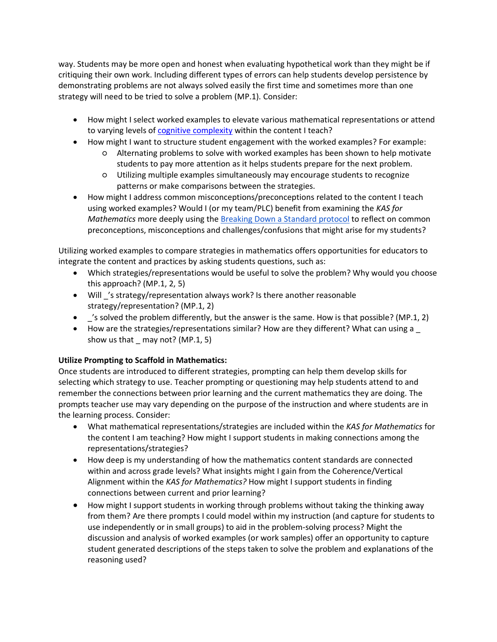way. Students may be more open and honest when evaluating hypothetical work than they might be if critiquing their own work. Including different types of errors can help students develop persistence by demonstrating problems are not always solved easily the first time and sometimes more than one strategy will need to be tried to solve a problem (MP.1). Consider:

- How might I select worked examples to elevate various mathematical representations or attend to varying levels of [cognitive complexity](https://www.achieve.org/files/Mathematics%20Cognitive%20Complexity%20Framework_Final_92619.pdf) within the content I teach?
- How might I want to structure student engagement with the worked examples? For example:
	- Alternating problems to solve with worked examples has been shown to help motivate students to pay more attention as it helps students prepare for the next problem.
	- Utilizing multiple examples simultaneously may encourage students to recognize patterns or make comparisons between the strategies.
- How might I address common misconceptions/preconceptions related to the content I teach using worked examples? Would I (or my team/PLC) benefit from examining the *KAS for Mathematics* more deeply using the [Breaking Down a Standard protocol](https://kystandards.org/standards-resources/mathematics-resources/breaking-down-a-mathematics-standard/) to reflect on common preconceptions, misconceptions and challenges/confusions that might arise for my students?

Utilizing worked examples to compare strategies in mathematics offers opportunities for educators to integrate the content and practices by asking students questions, such as:

- Which strategies/representations would be useful to solve the problem? Why would you choose this approach? (MP.1, 2, 5)
- Will 's strategy/representation always work? Is there another reasonable strategy/representation? (MP.1, 2)
- \_'s solved the problem differently, but the answer is the same. How is that possible? (MP.1, 2)
- How are the strategies/representations similar? How are they different? What can using a show us that  $\mod$  may not? (MP.1, 5)

## **Utilize Prompting to Scaffold in Mathematics:**

Once students are introduced to different strategies, prompting can help them develop skills for selecting which strategy to use. Teacher prompting or questioning may help students attend to and remember the connections between prior learning and the current mathematics they are doing. The prompts teacher use may vary depending on the purpose of the instruction and where students are in the learning process. Consider:

- What mathematical representations/strategies are included within the *KAS for Mathematics* for the content I am teaching? How might I support students in making connections among the representations/strategies?
- How deep is my understanding of how the mathematics content standards are connected within and across grade levels? What insights might I gain from the Coherence/Vertical Alignment within the *KAS for Mathematics?* How might I support students in finding connections between current and prior learning?
- How might I support students in working through problems without taking the thinking away from them? Are there prompts I could model within my instruction (and capture for students to use independently or in small groups) to aid in the problem-solving process? Might the discussion and analysis of worked examples (or work samples) offer an opportunity to capture student generated descriptions of the steps taken to solve the problem and explanations of the reasoning used?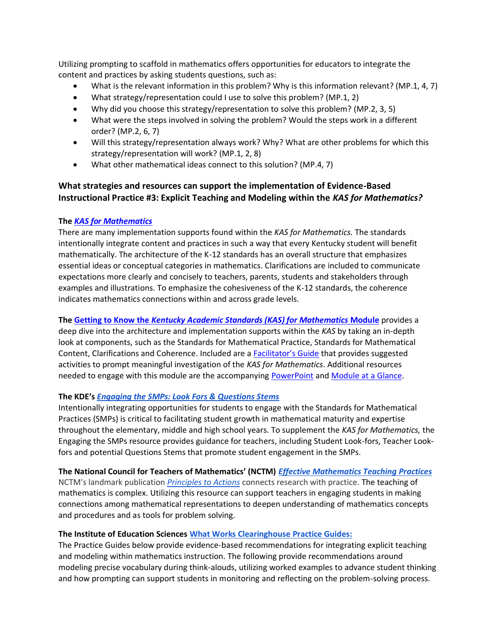Utilizing prompting to scaffold in mathematics offers opportunities for educators to integrate the content and practices by asking students questions, such as:

- What is the relevant information in this problem? Why is this information relevant? (MP.1, 4, 7)
- What strategy/representation could I use to solve this problem? (MP.1, 2)
- Why did you choose this strategy/representation to solve this problem? (MP.2, 3, 5)
- What were the steps involved in solving the problem? Would the steps work in a different order? (MP.2, 6, 7)
- Will this strategy/representation always work? Why? What are other problems for which this strategy/representation will work? (MP.1, 2, 8)
- What other mathematical ideas connect to this solution? (MP.4, 7)

## **What strategies and resources can support the implementation of Evidence-Based Instructional Practice #3: Explicit Teaching and Modeling within the** *KAS for Mathematics?*

#### **The** *[KAS for Mathematics](https://education.ky.gov/curriculum/standards/kyacadstand/Documents/Kentucky_Academic_Standards_Mathematics.pdf)*

There are many implementation supports found within the *KAS for Mathematics.* The standards intentionally integrate content and practices in such a way that every Kentucky student will benefit mathematically. The architecture of the K-12 standards has an overall structure that emphasizes essential ideas or conceptual categories in mathematics. Clarifications are included to communicate expectations more clearly and concisely to teachers, parents, students and stakeholders through examples and illustrations. To emphasize the cohesiveness of the K-12 standards, the coherence indicates mathematics connections within and across grade levels.

**The Getting to Know the** *[Kentucky Academic Standards \(KAS\) for Mathematics](https://kystandards.org/standards-resources/mathematics-resources/math-pl-modules/gls_uts_arp/)* **Module** provides a deep dive into the architecture and implementation supports within the *KAS* by taking an in-depth look at components, such as the Standards for Mathematical Practice, Standards for Mathematical Content, Clarifications and Coherence. Included are a [Facilitator's Guide](https://education.ky.gov/curriculum/standards/kyacadstand/Documents/Facilitators_Guide_Getting_to_Know_the_KAS_for_Mathematics.pdf) that provides suggested activities to prompt meaningful investigation of the *KAS for Mathematics*. Additional resources needed to engage with this module are the accompanying [PowerPoint](https://kystandards.org/wp-content/uploads/2019/06/Module_1_Getting_to_Know_the_Kentucky_Academic_Standards_for_Mathematics.pptx) and [Module at a Glance.](https://kystandards.org/wp-content/uploads/2019/04/Module_1_At_a_Glance_Mathematics.pdf)

#### **The KDE's** *[Engaging the SMPs: Look Fors & Questions Stems](https://education.ky.gov/curriculum/standards/kyacadstand/Documents/SMP_Look_Fors_and_Question_Stems.pdf)*

Intentionally integrating opportunities for students to engage with the Standards for Mathematical Practices (SMPs) is critical to facilitating student growth in mathematical maturity and expertise throughout the elementary, middle and high school years. To supplement the *KAS for Mathematics,* the Engaging the SMPs resource provides guidance for teachers, including Student Look-fors, Teacher Lookfors and potential Questions Stems that promote student engagement in the SMPs.

**The National Council for Teachers of Mathematics' (NCTM)** *[Effective Mathematics Teaching Practices](https://education.ky.gov/curriculum/standards/kyacadstand/Documents/Effective_Mathematics_Teaching_Practices_NCTM.docx)* NCTM's landmark publication *[Principles to Actions](http://www.nctm.org/store/Products/Principles-to-Actions--Ensuring-Mathematical-Success-for-All/)* connects research with practice. The teaching of mathematics is complex. Utilizing this resource can support teachers in engaging students in making connections among mathematical representations to deepen understanding of mathematics concepts and procedures and as tools for problem solving.

#### **The Institute of Education Sciences [What Works Clearinghouse](https://ies.ed.gov/ncee/wwc/Docs/PracticeGuide/How_can_the_WWC_Practice_Guides_Help_Teachers_508.pdf) [Practice Guides:](https://ies.ed.gov/ncee/wwc/Docs/PracticeGuide/How_can_the_WWC_Practice_Guides_Help_Teachers_508.pdf)**

The Practice Guides below provide evidence-based recommendations for integrating explicit teaching and modeling within mathematics instruction. The following provide recommendations around modeling precise vocabulary during think-alouds, utilizing worked examples to advance student thinking and how prompting can support students in monitoring and reflecting on the problem-solving process.